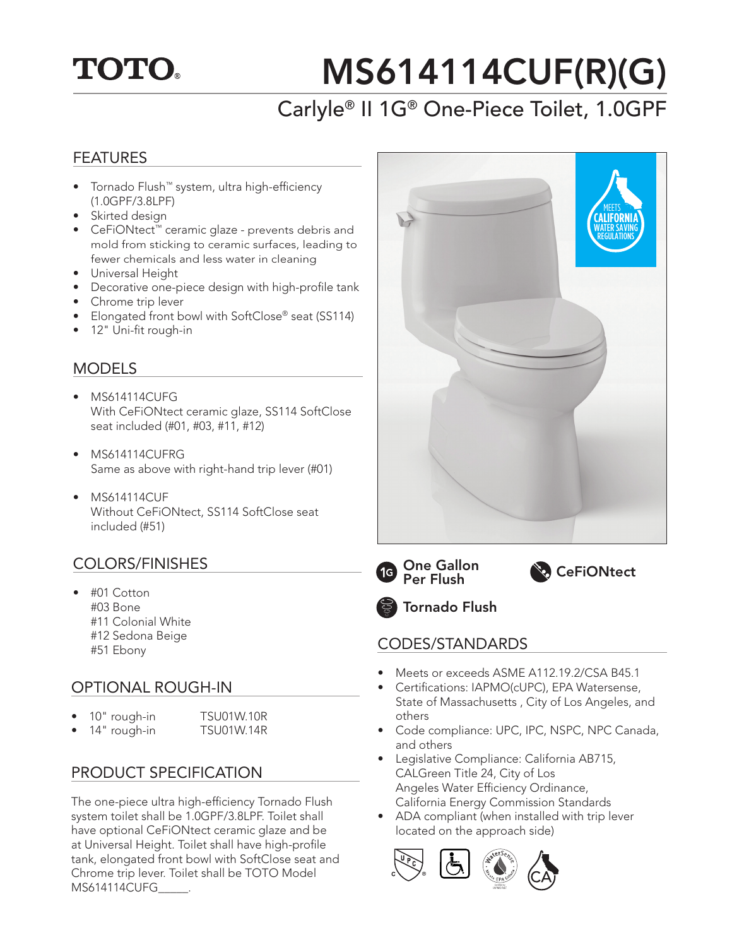

# MS614114CUF(R)(G)

# Carlyle® II 1G® One-Piece Toilet, 1.0GPF

### FEATURES

- Tornado Flush™ system, ultra high-efficiency (1.0GPF/3.8LPF)
- Skirted design
- CeFiONtect™ ceramic glaze prevents debris and mold from sticking to ceramic surfaces, leading to fewer chemicals and less water in cleaning
- Universal Height
- Decorative one-piece design with high-profile tank
- Chrome trip lever
- Elongated front bowl with SoftClose® seat (SS114)
- 12" Uni-fit rough-in

## MODELS

- MS614114CUFG With CeFiONtect ceramic glaze, SS114 SoftClose seat included (#01, #03, #11, #12)
- MS614114CUFRG Same as above with right-hand trip lever (#01)
- MS614114CUF Without CeFiONtect, SS114 SoftClose seat included (#51)

## COLORS/FINISHES

• #01 Cotton #03 Bone #11 Colonial White #12 Sedona Beige

## OPTIONAL ROUGH-IN

| 10" rough-in | <b>TSU01W.10R</b> |
|--------------|-------------------|
| 14" rough-in | <b>TSU01W.14R</b> |

## PRODUCT SPECIFICATION

The one-piece ultra high-efficiency Tornado Flush system toilet shall be 1.0GPF/3.8LPF. Toilet shall have optional CeFiONtect ceramic glaze and be at Universal Height. Toilet shall have high-profile tank, elongated front bowl with SoftClose seat and Chrome trip lever. Toilet shall be TOTO Model MS614114CUFG\_\_\_\_\_.









## #12 Seddia Beige CODES/STANDARDS<br>#51 Ebony

- Meets or exceeds ASME A112.19.2/CSA B45.1
- Certifications: IAPMO(cUPC), EPA Watersense, State of Massachusetts , City of Los Angeles, and others
- Code compliance: UPC, IPC, NSPC, NPC Canada, and others
- Legislative Compliance: California AB715, CALGreen Title 24, City of Los Angeles Water Efficiency Ordinance, California Energy Commission Standards
- ADA compliant (when installed with trip lever located on the approach side)